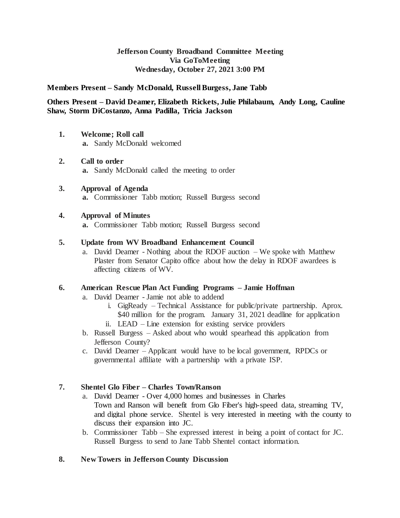## **Jefferson County Broadband Committee Meeting Via GoToMeeting Wednesday, October 27, 2021 3:00 PM**

#### **Members Present – Sandy McDonald, Russell Burgess, Jane Tabb**

#### **Others Present – David Deamer, Elizabeth Rickets, Julie Philabaum, Andy Long, Cauline Shaw, Storm DiCostanzo, Anna Padilla, Tricia Jackson**

- **1. Welcome; Roll call a.** Sandy McDonald welcomed
- **2. Call to order a.** Sandy McDonald called the meeting to order
- **3. Approval of Agenda a.** Commissioner Tabb motion; Russell Burgess second

#### **4. Approval of Minutes**

**a.** Commissioner Tabb motion; Russell Burgess second

### **5. Update from WV Broadband Enhancement Council**

a. David Deamer - Nothing about the RDOF auction – We spoke with Matthew Plaster from Senator Capito office about how the delay in RDOF awardees is affecting citizens of WV.

#### **6. American Rescue Plan Act Funding Programs – Jamie Hoffman**

- a. David Deamer Jamie not able to addend
	- i. GigReady Technical Assistance for public/private partnership. Aprox. \$40 million for the program. January 31, 2021 deadline for application ii. LEAD – Line extension for existing service providers
	-
- b. Russell Burgess Asked about who would spearhead this application from Jefferson County?
- c. David Deamer Applicant would have to be local government, RPDCs or governmental affiliate with a partnership with a private ISP.

#### **7. Shentel Glo Fiber – Charles Town/Ranson**

- a. David Deamer Over 4,000 homes and businesses in Charles Town and Ranson will benefit from Glo Fiber's high-speed data, streaming TV, and digital phone service. Shentel is very interested in meeting with the county to discuss their expansion into JC.
- b. Commissioner Tabb She expressed interest in being a point of contact for JC. Russell Burgess to send to Jane Tabb Shentel contact information.

# **8. New Towers in Jefferson County Discussion**